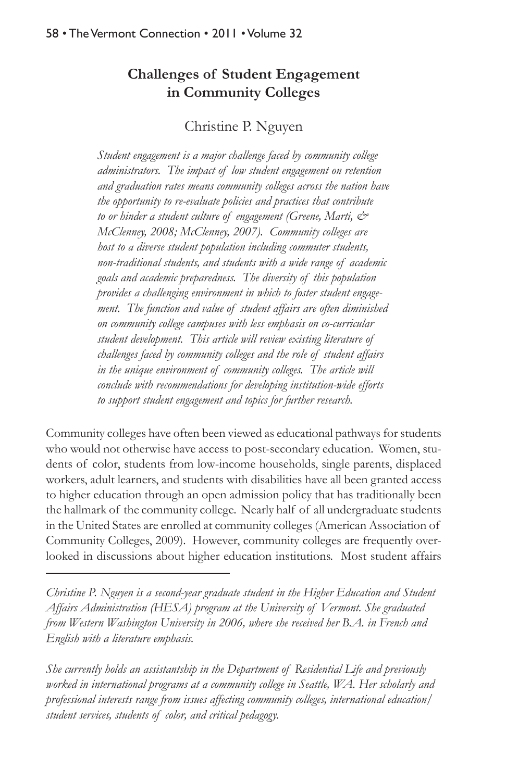# **Challenges of Student Engagement in Community Colleges**

Christine P. Nguyen

*Student engagement is a major challenge faced by community college administrators. The impact of low student engagement on retention and graduation rates means community colleges across the nation have the opportunity to re-evaluate policies and practices that contribute to or hinder a student culture of engagement (Greene, Marti, & McClenney, 2008; McClenney, 2007). Community colleges are host to a diverse student population including commuter students, non-traditional students, and students with a wide range of academic goals and academic preparedness. The diversity of this population provides a challenging environment in which to foster student engagement. The function and value of student affairs are often diminished on community college campuses with less emphasis on co-curricular student development. This article will review existing literature of challenges faced by community colleges and the role of student affairs in the unique environment of community colleges. The article will conclude with recommendations for developing institution-wide efforts to support student engagement and topics for further research.*

Community colleges have often been viewed as educational pathways for students who would not otherwise have access to post-secondary education. Women, students of color, students from low-income households, single parents, displaced workers, adult learners, and students with disabilities have all been granted access to higher education through an open admission policy that has traditionally been the hallmark of the community college. Nearly half of all undergraduate students in the United States are enrolled at community colleges (American Association of Community Colleges, 2009). However, community colleges are frequently overlooked in discussions about higher education institutions. Most student affairs

*Christine P. Nguyen is a second-year graduate student in the Higher Education and Student Affairs Administration (HESA) program at the University of Vermont. She graduated from Western Washington University in 2006, where she received her B.A. in French and English with a literature emphasis.*

*She currently holds an assistantship in the Department of Residential Life and previously worked in international programs at a community college in Seattle, WA. Her scholarly and professional interests range from issues affecting community colleges, international education/ student services, students of color, and critical pedagogy.*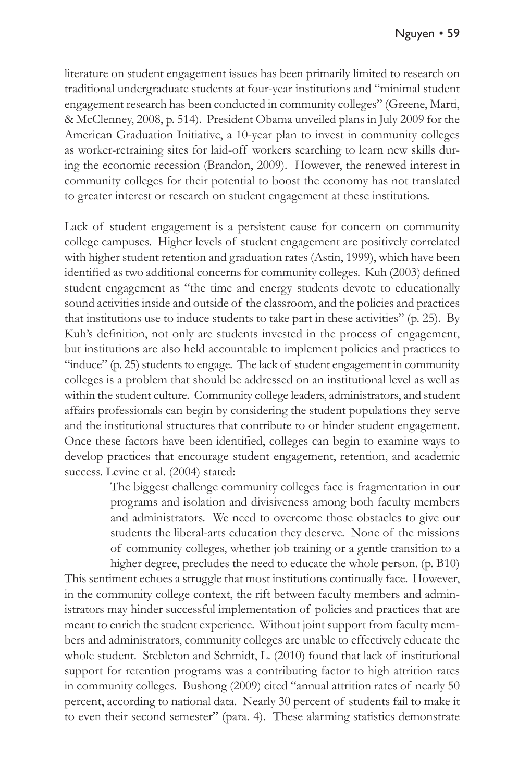literature on student engagement issues has been primarily limited to research on traditional undergraduate students at four-year institutions and "minimal student engagement research has been conducted in community colleges" (Greene, Marti, & McClenney, 2008, p. 514). President Obama unveiled plans in July 2009 for the American Graduation Initiative, a 10-year plan to invest in community colleges as worker-retraining sites for laid-off workers searching to learn new skills during the economic recession (Brandon, 2009). However, the renewed interest in community colleges for their potential to boost the economy has not translated to greater interest or research on student engagement at these institutions.

Lack of student engagement is a persistent cause for concern on community college campuses. Higher levels of student engagement are positively correlated with higher student retention and graduation rates (Astin, 1999), which have been identified as two additional concerns for community colleges. Kuh (2003) defined student engagement as "the time and energy students devote to educationally sound activities inside and outside of the classroom, and the policies and practices that institutions use to induce students to take part in these activities" (p. 25). By Kuh's definition, not only are students invested in the process of engagement, but institutions are also held accountable to implement policies and practices to "induce" (p. 25) students to engage. The lack of student engagement in community colleges is a problem that should be addressed on an institutional level as well as within the student culture. Community college leaders, administrators, and student affairs professionals can begin by considering the student populations they serve and the institutional structures that contribute to or hinder student engagement. Once these factors have been identified, colleges can begin to examine ways to develop practices that encourage student engagement, retention, and academic success. Levine et al. (2004) stated:

> The biggest challenge community colleges face is fragmentation in our programs and isolation and divisiveness among both faculty members and administrators. We need to overcome those obstacles to give our students the liberal-arts education they deserve. None of the missions of community colleges, whether job training or a gentle transition to a higher degree, precludes the need to educate the whole person. (p. B10)

This sentiment echoes a struggle that most institutions continually face. However, in the community college context, the rift between faculty members and administrators may hinder successful implementation of policies and practices that are meant to enrich the student experience. Without joint support from faculty members and administrators, community colleges are unable to effectively educate the whole student. Stebleton and Schmidt, L. (2010) found that lack of institutional support for retention programs was a contributing factor to high attrition rates in community colleges. Bushong (2009) cited "annual attrition rates of nearly 50 percent, according to national data. Nearly 30 percent of students fail to make it to even their second semester" (para. 4). These alarming statistics demonstrate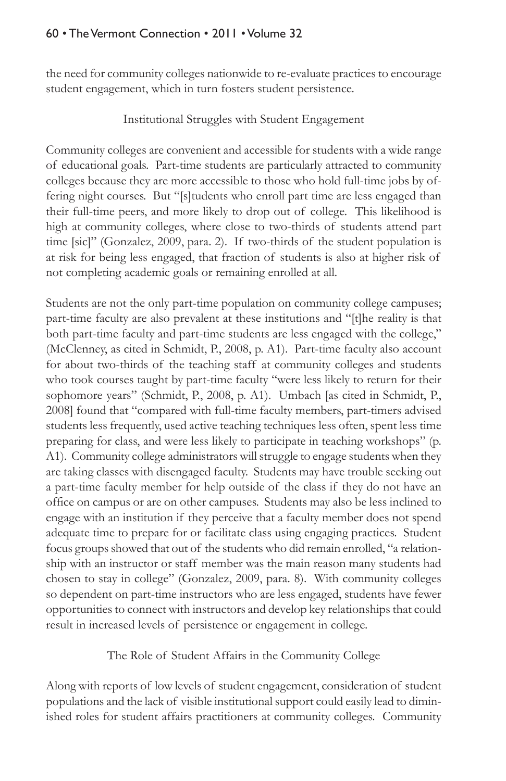the need for community colleges nationwide to re-evaluate practices to encourage student engagement, which in turn fosters student persistence.

#### Institutional Struggles with Student Engagement

Community colleges are convenient and accessible for students with a wide range of educational goals. Part-time students are particularly attracted to community colleges because they are more accessible to those who hold full-time jobs by offering night courses. But "[s]tudents who enroll part time are less engaged than their full-time peers, and more likely to drop out of college. This likelihood is high at community colleges, where close to two-thirds of students attend part time [sic]" (Gonzalez, 2009, para. 2). If two-thirds of the student population is at risk for being less engaged, that fraction of students is also at higher risk of not completing academic goals or remaining enrolled at all.

Students are not the only part-time population on community college campuses; part-time faculty are also prevalent at these institutions and "[t]he reality is that both part-time faculty and part-time students are less engaged with the college," (McClenney, as cited in Schmidt, P., 2008, p. A1). Part-time faculty also account for about two-thirds of the teaching staff at community colleges and students who took courses taught by part-time faculty "were less likely to return for their sophomore years" (Schmidt, P., 2008, p. A1). Umbach [as cited in Schmidt, P., 2008] found that "compared with full-time faculty members, part-timers advised students less frequently, used active teaching techniques less often, spent less time preparing for class, and were less likely to participate in teaching workshops" (p. A1). Community college administrators will struggle to engage students when they are taking classes with disengaged faculty. Students may have trouble seeking out a part-time faculty member for help outside of the class if they do not have an office on campus or are on other campuses. Students may also be less inclined to engage with an institution if they perceive that a faculty member does not spend adequate time to prepare for or facilitate class using engaging practices. Student focus groups showed that out of the students who did remain enrolled, "a relationship with an instructor or staff member was the main reason many students had chosen to stay in college" (Gonzalez, 2009, para. 8). With community colleges so dependent on part-time instructors who are less engaged, students have fewer opportunities to connect with instructors and develop key relationships that could result in increased levels of persistence or engagement in college.

The Role of Student Affairs in the Community College

Along with reports of low levels of student engagement, consideration of student populations and the lack of visible institutional support could easily lead to diminished roles for student affairs practitioners at community colleges. Community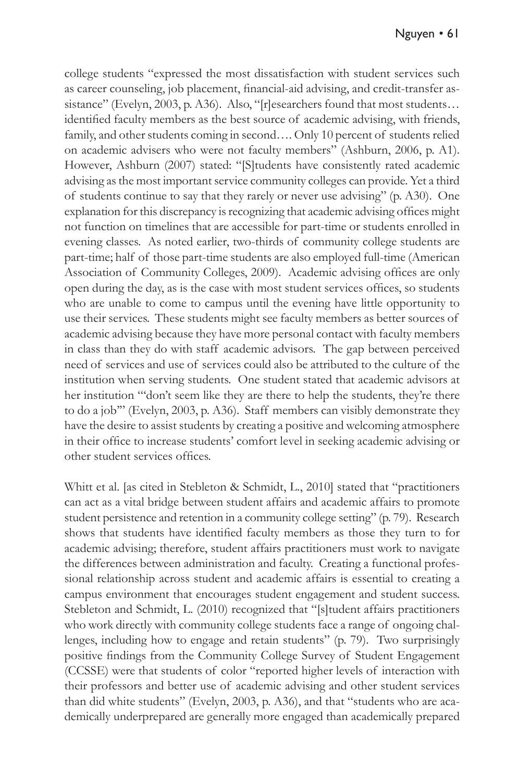college students "expressed the most dissatisfaction with student services such as career counseling, job placement, financial-aid advising, and credit-transfer assistance" (Evelyn, 2003, p. A36). Also, "[r]esearchers found that most students... identified faculty members as the best source of academic advising, with friends, family, and other students coming in second…. Only 10 percent of students relied on academic advisers who were not faculty members" (Ashburn, 2006, p. A1). However, Ashburn (2007) stated: "[S]tudents have consistently rated academic advising as the most important service community colleges can provide. Yet a third of students continue to say that they rarely or never use advising" (p. A30). One explanation for this discrepancy is recognizing that academic advising offices might not function on timelines that are accessible for part-time or students enrolled in evening classes. As noted earlier, two-thirds of community college students are part-time; half of those part-time students are also employed full-time (American Association of Community Colleges, 2009). Academic advising offices are only open during the day, as is the case with most student services offices, so students who are unable to come to campus until the evening have little opportunity to use their services. These students might see faculty members as better sources of academic advising because they have more personal contact with faculty members in class than they do with staff academic advisors. The gap between perceived need of services and use of services could also be attributed to the culture of the institution when serving students. One student stated that academic advisors at her institution "'don't seem like they are there to help the students, they're there to do a job'" (Evelyn, 2003, p. A36). Staff members can visibly demonstrate they have the desire to assist students by creating a positive and welcoming atmosphere in their office to increase students' comfort level in seeking academic advising or other student services offices.

Whitt et al. [as cited in Stebleton & Schmidt, L., 2010] stated that "practitioners can act as a vital bridge between student affairs and academic affairs to promote student persistence and retention in a community college setting" (p. 79). Research shows that students have identified faculty members as those they turn to for academic advising; therefore, student affairs practitioners must work to navigate the differences between administration and faculty. Creating a functional professional relationship across student and academic affairs is essential to creating a campus environment that encourages student engagement and student success. Stebleton and Schmidt, L. (2010) recognized that "[s]tudent affairs practitioners who work directly with community college students face a range of ongoing challenges, including how to engage and retain students" (p. 79). Two surprisingly positive findings from the Community College Survey of Student Engagement (CCSSE) were that students of color "reported higher levels of interaction with their professors and better use of academic advising and other student services than did white students" (Evelyn, 2003, p. A36), and that "students who are academically underprepared are generally more engaged than academically prepared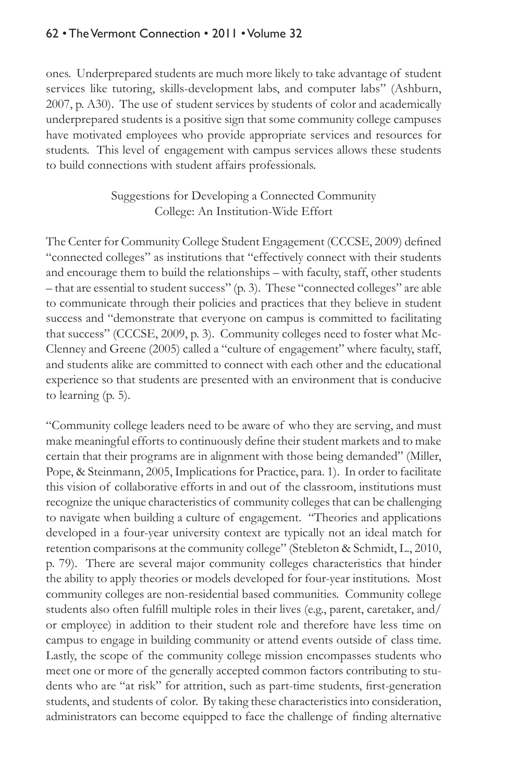ones. Underprepared students are much more likely to take advantage of student services like tutoring, skills-development labs, and computer labs" (Ashburn, 2007, p. A30). The use of student services by students of color and academically underprepared students is a positive sign that some community college campuses have motivated employees who provide appropriate services and resources for students. This level of engagement with campus services allows these students to build connections with student affairs professionals.

### Suggestions for Developing a Connected Community College: An Institution-Wide Effort

The Center for Community College Student Engagement (CCCSE, 2009) defined "connected colleges" as institutions that "effectively connect with their students and encourage them to build the relationships – with faculty, staff, other students – that are essential to student success" (p. 3). These "connected colleges" are able to communicate through their policies and practices that they believe in student success and "demonstrate that everyone on campus is committed to facilitating that success" (CCCSE, 2009, p. 3). Community colleges need to foster what Mc-Clenney and Greene (2005) called a "culture of engagement" where faculty, staff, and students alike are committed to connect with each other and the educational experience so that students are presented with an environment that is conducive to learning (p. 5).

"Community college leaders need to be aware of who they are serving, and must make meaningful efforts to continuously define their student markets and to make certain that their programs are in alignment with those being demanded" (Miller, Pope, & Steinmann, 2005, Implications for Practice, para. 1). In order to facilitate this vision of collaborative efforts in and out of the classroom, institutions must recognize the unique characteristics of community colleges that can be challenging to navigate when building a culture of engagement. "Theories and applications developed in a four-year university context are typically not an ideal match for retention comparisons at the community college" (Stebleton & Schmidt, L., 2010, p. 79). There are several major community colleges characteristics that hinder the ability to apply theories or models developed for four-year institutions. Most community colleges are non-residential based communities. Community college students also often fulfill multiple roles in their lives (e.g., parent, caretaker, and/ or employee) in addition to their student role and therefore have less time on campus to engage in building community or attend events outside of class time. Lastly, the scope of the community college mission encompasses students who meet one or more of the generally accepted common factors contributing to students who are "at risk" for attrition, such as part-time students, first-generation students, and students of color. By taking these characteristics into consideration, administrators can become equipped to face the challenge of finding alternative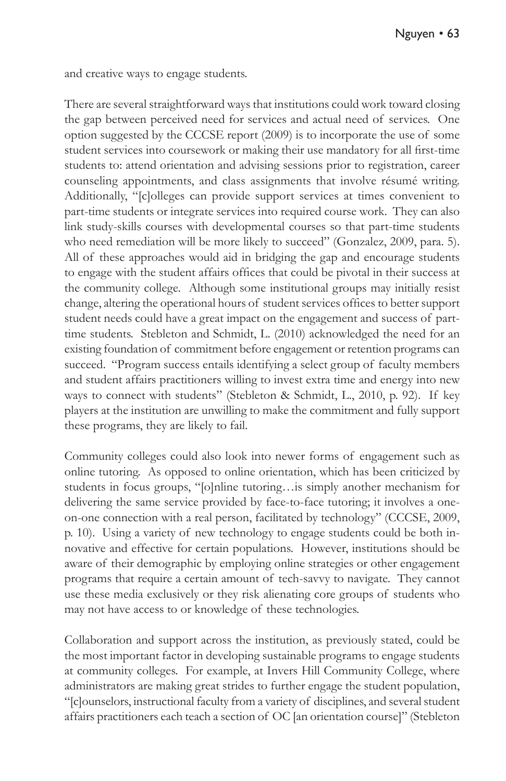and creative ways to engage students.

There are several straightforward ways that institutions could work toward closing the gap between perceived need for services and actual need of services. One option suggested by the CCCSE report (2009) is to incorporate the use of some student services into coursework or making their use mandatory for all first-time students to: attend orientation and advising sessions prior to registration, career counseling appointments, and class assignments that involve résumé writing. Additionally, "[c]olleges can provide support services at times convenient to part-time students or integrate services into required course work. They can also link study-skills courses with developmental courses so that part-time students who need remediation will be more likely to succeed" (Gonzalez, 2009, para. 5). All of these approaches would aid in bridging the gap and encourage students to engage with the student affairs offices that could be pivotal in their success at the community college. Although some institutional groups may initially resist change, altering the operational hours of student services offices to better support student needs could have a great impact on the engagement and success of parttime students. Stebleton and Schmidt, L. (2010) acknowledged the need for an existing foundation of commitment before engagement or retention programs can succeed. "Program success entails identifying a select group of faculty members and student affairs practitioners willing to invest extra time and energy into new ways to connect with students" (Stebleton & Schmidt, L., 2010, p. 92). If key players at the institution are unwilling to make the commitment and fully support these programs, they are likely to fail.

Community colleges could also look into newer forms of engagement such as online tutoring. As opposed to online orientation, which has been criticized by students in focus groups, "[o]nline tutoring…is simply another mechanism for delivering the same service provided by face-to-face tutoring; it involves a oneon-one connection with a real person, facilitated by technology" (CCCSE, 2009, p. 10). Using a variety of new technology to engage students could be both innovative and effective for certain populations. However, institutions should be aware of their demographic by employing online strategies or other engagement programs that require a certain amount of tech-savvy to navigate. They cannot use these media exclusively or they risk alienating core groups of students who may not have access to or knowledge of these technologies.

Collaboration and support across the institution, as previously stated, could be the most important factor in developing sustainable programs to engage students at community colleges. For example, at Invers Hill Community College, where administrators are making great strides to further engage the student population, "[c]ounselors, instructional faculty from a variety of disciplines, and several student affairs practitioners each teach a section of OC [an orientation course]" (Stebleton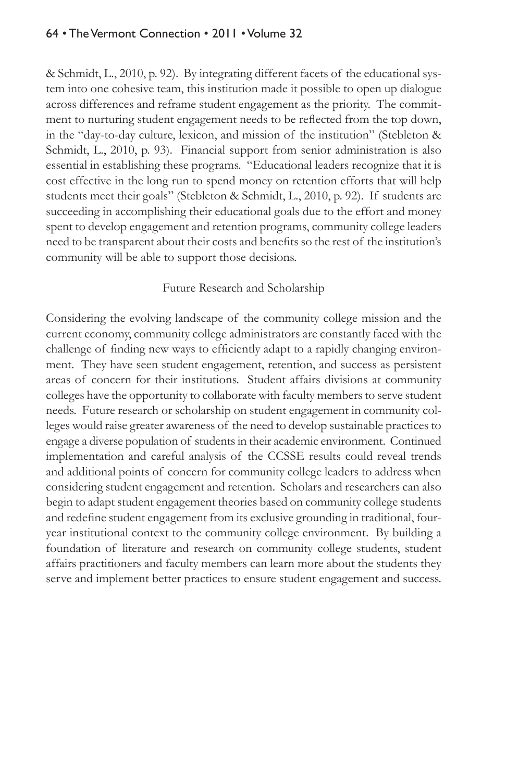& Schmidt, L., 2010, p. 92). By integrating different facets of the educational system into one cohesive team, this institution made it possible to open up dialogue across differences and reframe student engagement as the priority. The commitment to nurturing student engagement needs to be reflected from the top down, in the "day-to-day culture, lexicon, and mission of the institution" (Stebleton & Schmidt, L., 2010, p. 93). Financial support from senior administration is also essential in establishing these programs. "Educational leaders recognize that it is cost effective in the long run to spend money on retention efforts that will help students meet their goals" (Stebleton & Schmidt, L., 2010, p. 92). If students are succeeding in accomplishing their educational goals due to the effort and money spent to develop engagement and retention programs, community college leaders need to be transparent about their costs and benefits so the rest of the institution's community will be able to support those decisions.

#### Future Research and Scholarship

Considering the evolving landscape of the community college mission and the current economy, community college administrators are constantly faced with the challenge of finding new ways to efficiently adapt to a rapidly changing environment. They have seen student engagement, retention, and success as persistent areas of concern for their institutions. Student affairs divisions at community colleges have the opportunity to collaborate with faculty members to serve student needs. Future research or scholarship on student engagement in community colleges would raise greater awareness of the need to develop sustainable practices to engage a diverse population of students in their academic environment. Continued implementation and careful analysis of the CCSSE results could reveal trends and additional points of concern for community college leaders to address when considering student engagement and retention. Scholars and researchers can also begin to adapt student engagement theories based on community college students and redefine student engagement from its exclusive grounding in traditional, fouryear institutional context to the community college environment. By building a foundation of literature and research on community college students, student affairs practitioners and faculty members can learn more about the students they serve and implement better practices to ensure student engagement and success.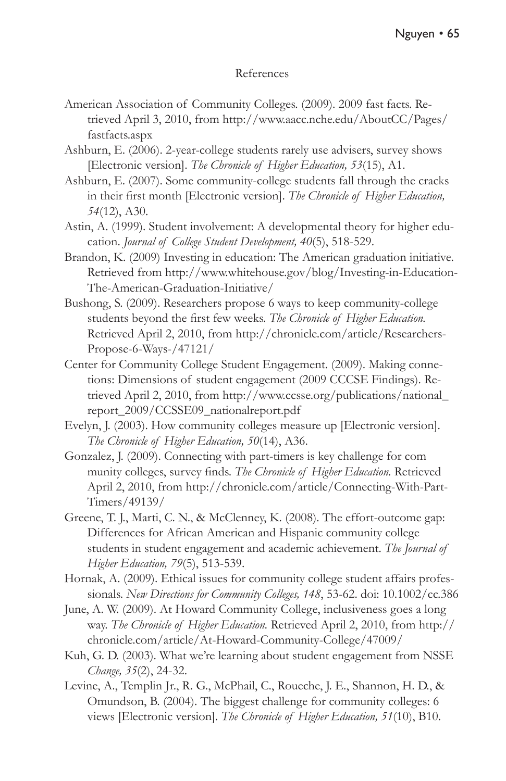#### References

- American Association of Community Colleges. (2009). 2009 fast facts. Retrieved April 3, 2010, from http://www.aacc.nche.edu/AboutCC/Pages/ fastfacts.aspx
- Ashburn, E. (2006). 2-year-college students rarely use advisers, survey shows [Electronic version]. *The Chronicle of Higher Education, 53*(15), A1.
- Ashburn, E. (2007). Some community-college students fall through the cracks in their first month [Electronic version]. *The Chronicle of Higher Education, 54*(12), A30.
- Astin, A. (1999). Student involvement: A developmental theory for higher education. *Journal of College Student Development, 40*(5), 518-529.
- Brandon, K. (2009) Investing in education: The American graduation initiative. Retrieved from http://www.whitehouse.gov/blog/Investing-in-Education-The-American-Graduation-Initiative/
- Bushong, S. (2009). Researchers propose 6 ways to keep community-college students beyond the first few weeks. *The Chronicle of Higher Education.* Retrieved April 2, 2010, from http://chronicle.com/article/Researchers-Propose-6-Ways-/47121/
- Center for Community College Student Engagement. (2009). Making connetions: Dimensions of student engagement (2009 CCCSE Findings). Retrieved April 2, 2010, from http://www.ccsse.org/publications/national\_ report\_2009/CCSSE09\_nationalreport.pdf
- Evelyn, J. (2003). How community colleges measure up [Electronic version]. *The Chronicle of Higher Education, 50*(14), A36.
- Gonzalez, J. (2009). Connecting with part-timers is key challenge for com munity colleges, survey finds. *The Chronicle of Higher Education.* Retrieved April 2, 2010, from http://chronicle.com/article/Connecting-With-Part-Timers/49139/
- Greene, T. J., Marti, C. N., & McClenney, K. (2008). The effort-outcome gap: Differences for African American and Hispanic community college students in student engagement and academic achievement. *The Journal of Higher Education, 79*(5), 513-539.
- Hornak, A. (2009). Ethical issues for community college student affairs professionals. *New Directions for Community Colleges, 148*, 53-62. doi: 10.1002/cc.386
- June, A. W. (2009). At Howard Community College, inclusiveness goes a long way. *The Chronicle of Higher Education.* Retrieved April 2, 2010, from http:// chronicle.com/article/At-Howard-Community-College/47009/
- Kuh, G. D. (2003). What we're learning about student engagement from NSSE *Change, 35*(2), 24-32.
- Levine, A., Templin Jr., R. G., McPhail, C., Roueche, J. E., Shannon, H. D., & Omundson, B. (2004). The biggest challenge for community colleges: 6 views [Electronic version]. *The Chronicle of Higher Education, 51*(10), B10.